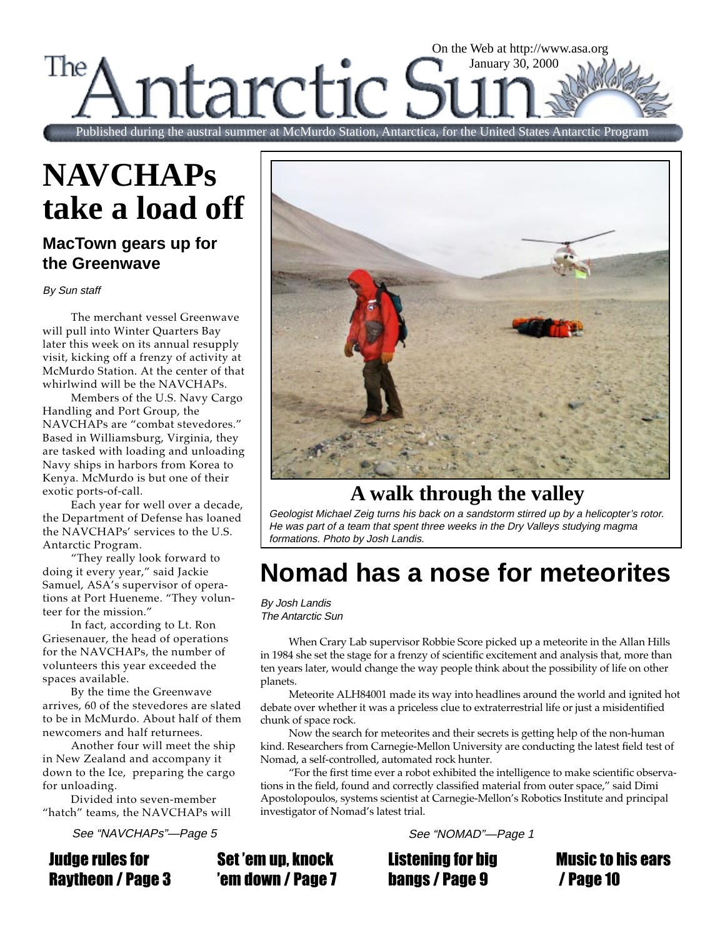#### On the Web at http://www.asa.org The January 30, 2000 tarctic Published during the austral summer at McMurdo Station, Antarctica, for the United States Antarctic Program

# **NAVCHAPs take a load off**

#### **MacTown gears up for the Greenwave**

By Sun staff

The merchant vessel Greenwave will pull into Winter Quarters Bay later this week on its annual resupply visit, kicking off a frenzy of activity at McMurdo Station. At the center of that whirlwind will be the NAVCHAPs.

Members of the U.S. Navy Cargo Handling and Port Group, the NAVCHAPs are "combat stevedores." Based in Williamsburg, Virginia, they are tasked with loading and unloading Navy ships in harbors from Korea to Kenya. McMurdo is but one of their exotic ports-of-call.

Each year for well over a decade, the Department of Defense has loaned the NAVCHAPs' services to the U.S. Antarctic Program.

"They really look forward to doing it every year," said Jackie Samuel, ASA's supervisor of operations at Port Hueneme. "They volunteer for the mission."

In fact, according to Lt. Ron Griesenauer, the head of operations for the NAVCHAPs, the number of volunteers this year exceeded the spaces available.

By the time the Greenwave arrives, 60 of the stevedores are slated to be in McMurdo. About half of them newcomers and half returnees.

Another four will meet the ship in New Zealand and accompany it down to the Ice, preparing the cargo for unloading.

Divided into seven-member "hatch" teams, the NAVCHAPs will

See "NAVCHAPs"—Page 5 See "NOMAD"—Page 1

Judge rules for Raytheon / Page 3



## **A walk through the valley**

Geologist Michael Zeig turns his back on a sandstorm stirred up by a helicopter's rotor. He was part of a team that spent three weeks in the Dry Valleys studying magma formations. Photo by Josh Landis.

## **Nomad has a nose for meteorites**

By Josh Landis The Antarctic Sun

When Crary Lab supervisor Robbie Score picked up a meteorite in the Allan Hills in 1984 she set the stage for a frenzy of scientific excitement and analysis that, more than ten years later, would change the way people think about the possibility of life on other planets.

Meteorite ALH84001 made its way into headlines around the world and ignited hot debate over whether it was a priceless clue to extraterrestrial life or just a misidentified chunk of space rock.

Now the search for meteorites and their secrets is getting help of the non-human kind. Researchers from Carnegie-Mellon University are conducting the latest field test of Nomad, a self-controlled, automated rock hunter.

"For the first time ever a robot exhibited the intelligence to make scientific observations in the field, found and correctly classified material from outer space," said Dimi Apostolopoulos, systems scientist at Carnegie-Mellon's Robotics Institute and principal investigator of Nomad's latest trial.

Set 'em up, knock 'em down / Page 7

Listening for big bangs / Page 9

Music to his ears / Page 10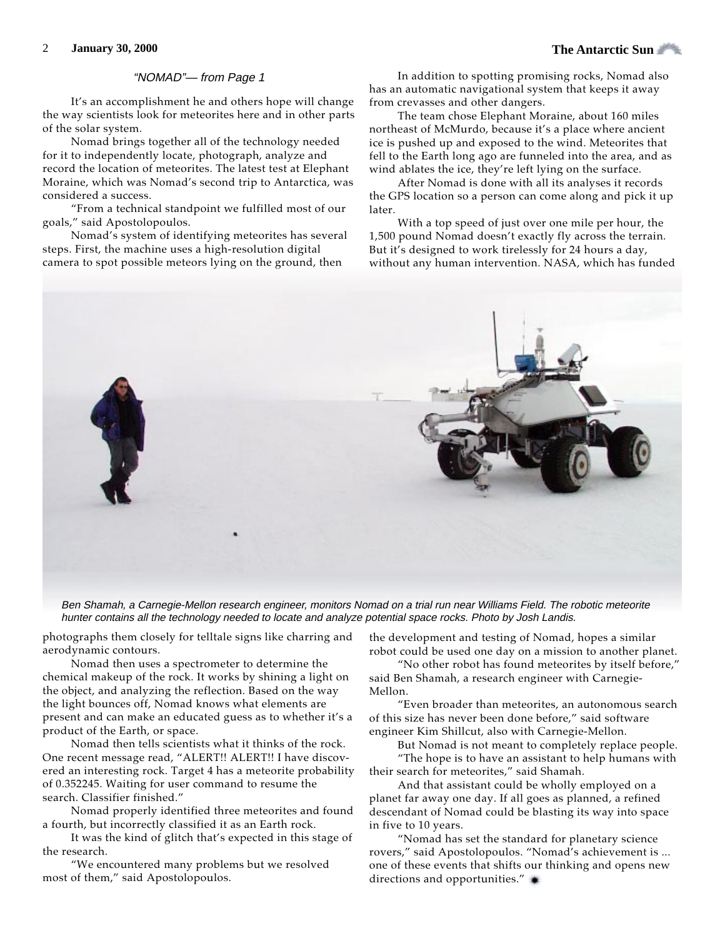#### "NOMAD"— from Page 1

It's an accomplishment he and others hope will change the way scientists look for meteorites here and in other parts of the solar system.

Nomad brings together all of the technology needed for it to independently locate, photograph, analyze and record the location of meteorites. The latest test at Elephant Moraine, which was Nomad's second trip to Antarctica, was considered a success.

"From a technical standpoint we fulfilled most of our goals," said Apostolopoulos.

Nomad's system of identifying meteorites has several steps. First, the machine uses a high-resolution digital camera to spot possible meteors lying on the ground, then

In addition to spotting promising rocks, Nomad also has an automatic navigational system that keeps it away from crevasses and other dangers.

The team chose Elephant Moraine, about 160 miles northeast of McMurdo, because it's a place where ancient ice is pushed up and exposed to the wind. Meteorites that fell to the Earth long ago are funneled into the area, and as wind ablates the ice, they're left lying on the surface.

After Nomad is done with all its analyses it records the GPS location so a person can come along and pick it up later.

With a top speed of just over one mile per hour, the 1,500 pound Nomad doesn't exactly fly across the terrain. But it's designed to work tirelessly for 24 hours a day, without any human intervention. NASA, which has funded



Ben Shamah, a Carnegie-Mellon research engineer, monitors Nomad on a trial run near Williams Field. The robotic meteorite hunter contains all the technology needed to locate and analyze potential space rocks. Photo by Josh Landis.

photographs them closely for telltale signs like charring and aerodynamic contours.

Nomad then uses a spectrometer to determine the chemical makeup of the rock. It works by shining a light on the object, and analyzing the reflection. Based on the way the light bounces off, Nomad knows what elements are present and can make an educated guess as to whether it's a product of the Earth, or space.

Nomad then tells scientists what it thinks of the rock. One recent message read, "ALERT!! ALERT!! I have discovered an interesting rock. Target 4 has a meteorite probability of 0.352245. Waiting for user command to resume the search. Classifier finished."

Nomad properly identified three meteorites and found a fourth, but incorrectly classified it as an Earth rock.

It was the kind of glitch that's expected in this stage of the research.

"We encountered many problems but we resolved most of them," said Apostolopoulos.

the development and testing of Nomad, hopes a similar robot could be used one day on a mission to another planet.

"No other robot has found meteorites by itself before," said Ben Shamah, a research engineer with Carnegie-Mellon.

"Even broader than meteorites, an autonomous search of this size has never been done before," said software engineer Kim Shillcut, also with Carnegie-Mellon.

But Nomad is not meant to completely replace people. "The hope is to have an assistant to help humans with

their search for meteorites," said Shamah. And that assistant could be wholly employed on a

planet far away one day. If all goes as planned, a refined descendant of Nomad could be blasting its way into space in five to 10 years.

"Nomad has set the standard for planetary science rovers," said Apostolopoulos. "Nomad's achievement is ... one of these events that shifts our thinking and opens new directions and opportunities."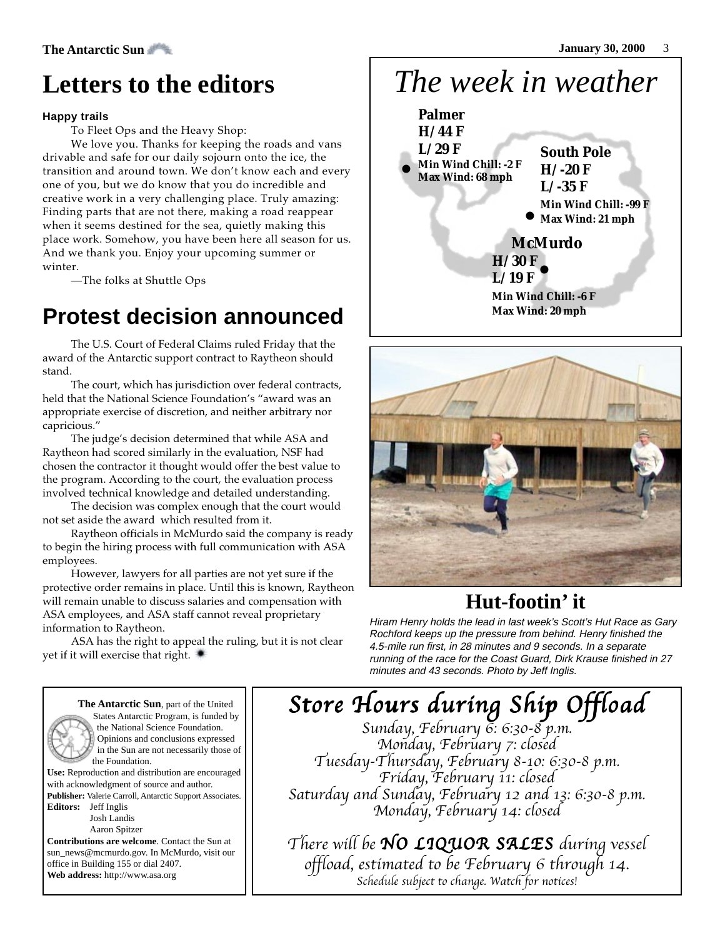## **Letters to the editors**

#### **Happy trails**

To Fleet Ops and the Heavy Shop:

We love you. Thanks for keeping the roads and vans drivable and safe for our daily sojourn onto the ice, the transition and around town. We don't know each and every one of you, but we do know that you do incredible and creative work in a very challenging place. Truly amazing: Finding parts that are not there, making a road reappear when it seems destined for the sea, quietly making this place work. Somehow, you have been here all season for us. And we thank you. Enjoy your upcoming summer or winter.

—The folks at Shuttle Ops

## **Protest decision announced**

The U.S. Court of Federal Claims ruled Friday that the award of the Antarctic support contract to Raytheon should stand.

The court, which has jurisdiction over federal contracts, held that the National Science Foundation's "award was an appropriate exercise of discretion, and neither arbitrary nor capricious."

The judge's decision determined that while ASA and Raytheon had scored similarly in the evaluation, NSF had chosen the contractor it thought would offer the best value to the program. According to the court, the evaluation process involved technical knowledge and detailed understanding.

The decision was complex enough that the court would not set aside the award which resulted from it.

Raytheon officials in McMurdo said the company is ready to begin the hiring process with full communication with ASA employees.

However, lawyers for all parties are not yet sure if the protective order remains in place. Until this is known, Raytheon will remain unable to discuss salaries and compensation with ASA employees, and ASA staff cannot reveal proprietary information to Raytheon.

ASA has the right to appeal the ruling, but it is not clear yet if it will exercise that right.

#### *The week in weather* **• H/ 30 F • • McMurdo L/ 19 F Min Wind Chill: -6 F Max Wind: 20 mph South Pole H/ -20 F L/ -35 F Min Wind Chill: -99 F Max Wind: 21 mph Palmer H/ 44 F L/ 29 F Min Wind Chill: -2 F Max Wind: 68 mph**



## **Hut-footin' it**

Hiram Henry holds the lead in last week's Scott's Hut Race as Gary Rochford keeps up the pressure from behind. Henry finished the 4.5-mile run first, in 28 minutes and 9 seconds. In a separate running of the race for the Coast Guard, Dirk Krause finished in 27 minutes and 43 seconds. Photo by Jeff Inglis.

**The Antarctic Sun**, part of the United States Antarctic Program, is funded by the National Science Foundation. Opinions and conclusions expressed in the Sun are not necessarily those of the Foundation. **Use:** Reproduction and distribution are encouraged with acknowledgment of source and author. **Publisher:** Valerie Carroll, Antarctic Support Associates. **Editors:** Jeff Inglis

> Josh Landis Aaron Spitzer

**Contributions are welcome**. Contact the Sun at sun\_news@mcmurdo.gov. In McMurdo, visit our office in Building 155 or dial 2407. **Web address:** http://www.asa.org

# Store Hours during Ship Offload

Sunday, February 6: 6:30-8 p.m. Monday, February 7: closed Tuesday-Thursday, February 8-10: 6:30-8 p.m. Friday, February 11: closed Saturday and Sunday, February 12 and 13: 6:30-8 p.m. Monday, February 14: closed

There will be NO LIQUOR SALES during vessel offload, estimated to be February 6 through 14. Schedule subject to change. Watch for notices!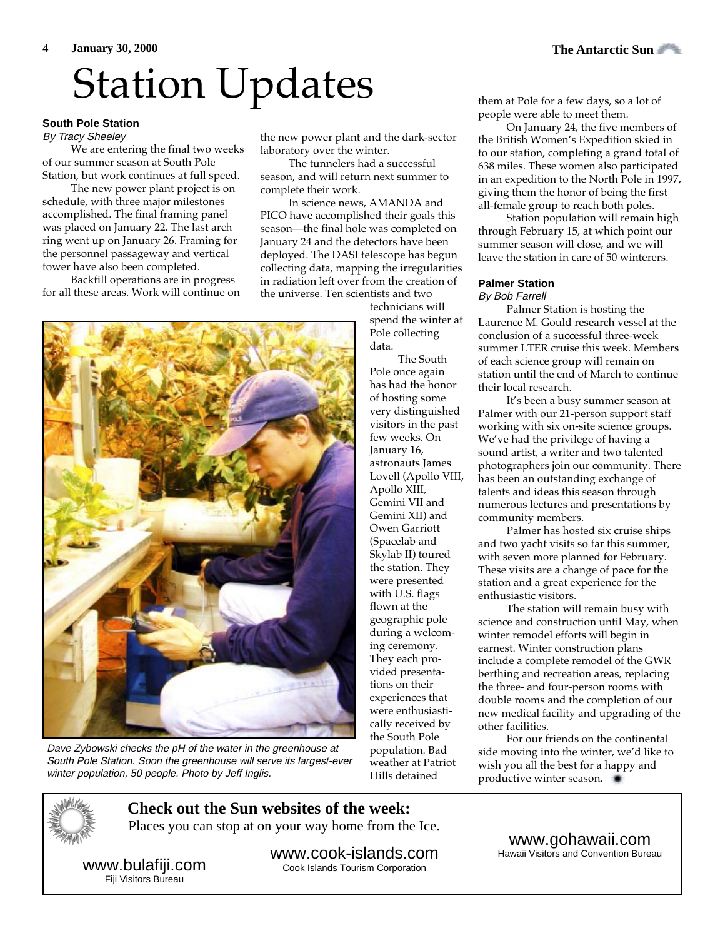# Station Updates them at Pole for a few days, so a lot of

#### **South Pole Station**

By Tracy Sheeley

We are entering the final two weeks of our summer season at South Pole Station, but work continues at full speed.

The new power plant project is on schedule, with three major milestones accomplished. The final framing panel was placed on January 22. The last arch ring went up on January 26. Framing for the personnel passageway and vertical tower have also been completed.

Backfill operations are in progress for all these areas. Work will continue on

the new power plant and the dark-sector laboratory over the winter.

The tunnelers had a successful season, and will return next summer to complete their work.

In science news, AMANDA and PICO have accomplished their goals this season—the final hole was completed on January 24 and the detectors have been deployed. The DASI telescope has begun collecting data, mapping the irregularities in radiation left over from the creation of the universe. Ten scientists and two

technicians will spend the winter at Pole collecting data.

The South Pole once again has had the honor of hosting some very distinguished visitors in the past few weeks. On January 16, astronauts James Lovell (Apollo VIII, Apollo XIII, Gemini VII and Gemini XII) and Owen Garriott (Spacelab and Skylab II) toured the station. They were presented with U.S. flags flown at the geographic pole during a welcoming ceremony. They each provided presentations on their experiences that were enthusiastically received by the South Pole population. Bad weather at Patriot Hills detained

people were able to meet them.

On January 24, the five members of the British Women's Expedition skied in to our station, completing a grand total of 638 miles. These women also participated in an expedition to the North Pole in 1997, giving them the honor of being the first all-female group to reach both poles.

Station population will remain high through February 15, at which point our summer season will close, and we will leave the station in care of 50 winterers.

#### **Palmer Station**

#### By Bob Farrell

Palmer Station is hosting the Laurence M. Gould research vessel at the conclusion of a successful three-week summer LTER cruise this week. Members of each science group will remain on station until the end of March to continue their local research.

It's been a busy summer season at Palmer with our 21-person support staff working with six on-site science groups. We've had the privilege of having a sound artist, a writer and two talented photographers join our community. There has been an outstanding exchange of talents and ideas this season through numerous lectures and presentations by community members.

Palmer has hosted six cruise ships and two yacht visits so far this summer, with seven more planned for February. These visits are a change of pace for the station and a great experience for the enthusiastic visitors.

The station will remain busy with science and construction until May, when winter remodel efforts will begin in earnest. Winter construction plans include a complete remodel of the GWR berthing and recreation areas, replacing the three- and four-person rooms with double rooms and the completion of our new medical facility and upgrading of the other facilities.

For our friends on the continental side moving into the winter, we'd like to wish you all the best for a happy and productive winter season.



**Check out the Sun websites of the week:** Places you can stop at on your way home from the Ice.

www.bulafiji.com Fiji Visitors Bureau

winter population, 50 people. Photo by Jeff Inglis.

www.cook-islands.com Cook Islands Tourism Corporation

www.gohawaii.com

Hawaii Visitors and Convention Bureau



South Pole Station. Soon the greenhouse will serve its largest-ever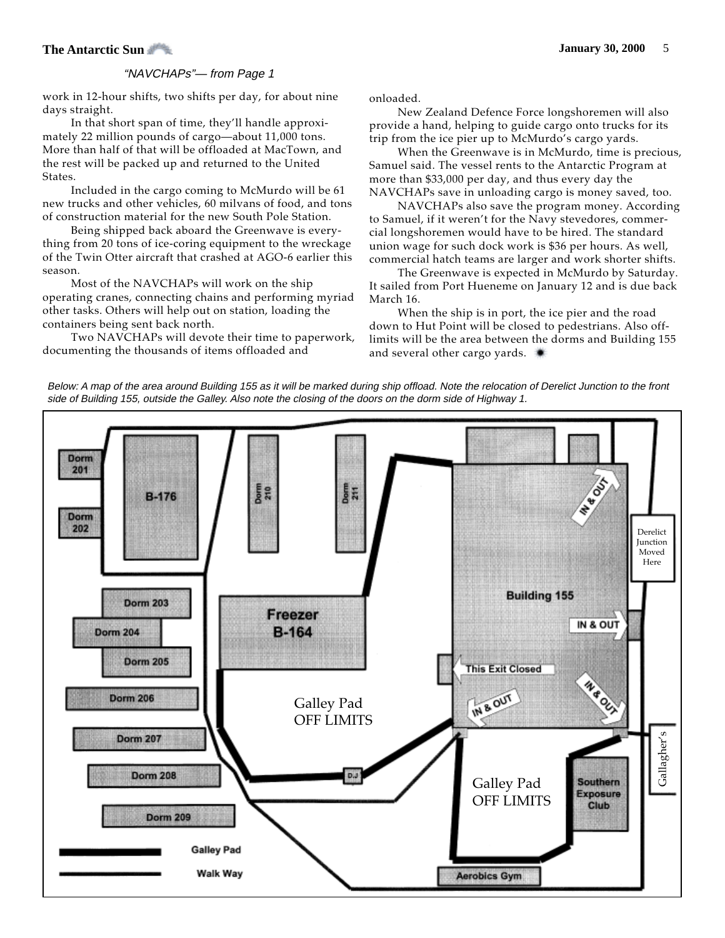#### **The Antarctic Sun** 5 **January 30, 2000** 5

#### "NAVCHAPs"— from Page 1

work in 12-hour shifts, two shifts per day, for about nine days straight.

In that short span of time, they'll handle approximately 22 million pounds of cargo—about 11,000 tons. More than half of that will be offloaded at MacTown, and the rest will be packed up and returned to the United States.

Included in the cargo coming to McMurdo will be 61 new trucks and other vehicles, 60 milvans of food, and tons of construction material for the new South Pole Station.

Being shipped back aboard the Greenwave is everything from 20 tons of ice-coring equipment to the wreckage of the Twin Otter aircraft that crashed at AGO-6 earlier this season.

Most of the NAVCHAPs will work on the ship operating cranes, connecting chains and performing myriad other tasks. Others will help out on station, loading the containers being sent back north.

Two NAVCHAPs will devote their time to paperwork, documenting the thousands of items offloaded and

onloaded.

New Zealand Defence Force longshoremen will also provide a hand, helping to guide cargo onto trucks for its trip from the ice pier up to McMurdo's cargo yards.

When the Greenwave is in McMurdo, time is precious, Samuel said. The vessel rents to the Antarctic Program at more than \$33,000 per day, and thus every day the NAVCHAPs save in unloading cargo is money saved, too.

NAVCHAPs also save the program money. According to Samuel, if it weren't for the Navy stevedores, commercial longshoremen would have to be hired. The standard union wage for such dock work is \$36 per hours. As well, commercial hatch teams are larger and work shorter shifts.

The Greenwave is expected in McMurdo by Saturday. It sailed from Port Hueneme on January 12 and is due back March 16.

When the ship is in port, the ice pier and the road down to Hut Point will be closed to pedestrians. Also offlimits will be the area between the dorms and Building 155 and several other cargo yards.

Below: A map of the area around Building 155 as it will be marked during ship offload. Note the relocation of Derelict Junction to the front side of Building 155, outside the Galley. Also note the closing of the doors on the dorm side of Highway 1.

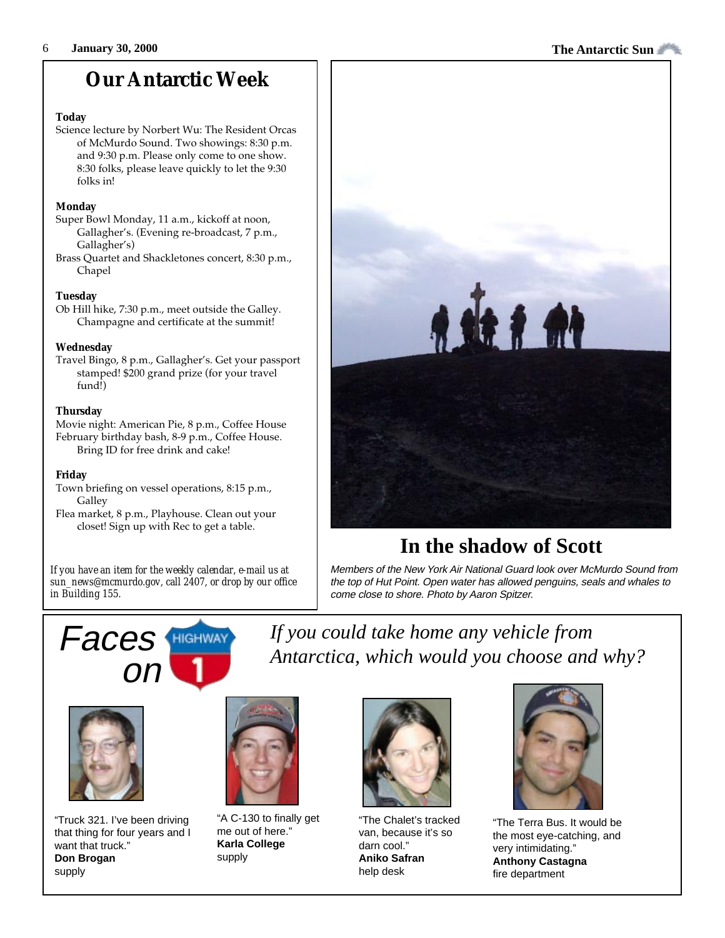## **Our Antarctic Week**

#### **Today**

Science lecture by Norbert Wu: The Resident Orcas of McMurdo Sound. Two showings: 8:30 p.m. and 9:30 p.m. Please only come to one show. 8:30 folks, please leave quickly to let the 9:30 folks in!

#### **Monday**

- Super Bowl Monday, 11 a.m., kickoff at noon, Gallagher's. (Evening re-broadcast, 7 p.m., Gallagher's)
- Brass Quartet and Shackletones concert, 8:30 p.m., Chapel

#### **Tuesday**

Ob Hill hike, 7:30 p.m., meet outside the Galley. Champagne and certificate at the summit!

#### **Wednesday**

Travel Bingo, 8 p.m., Gallagher's. Get your passport stamped! \$200 grand prize (for your travel fund!)

#### **Thursday**

Movie night: American Pie, 8 p.m., Coffee House February birthday bash, 8-9 p.m., Coffee House. Bring ID for free drink and cake!

#### **Friday**

- Town briefing on vessel operations, 8:15 p.m., **Galley**
- Flea market, 8 p.m., Playhouse. Clean out your closet! Sign up with Rec to get a table.

*If you have an item for the weekly calendar, e-mail us at sun\_news@mcmurdo.gov, call 2407, or drop by our office in Building 155.*



## **In the shadow of Scott**

Members of the New York Air National Guard look over McMurdo Sound from the top of Hut Point. Open water has allowed penguins, seals and whales to come close to shore. Photo by Aaron Spitzer.



*If you could take home any vehicle from* **Faces HIGHWAY** *If you could take home any vehicle from*<br>*Antarctica, which would you choose and why?* 



"Truck 321. I've been driving that thing for four years and I want that truck." **Don Brogan** supply



"A C-130 to finally get me out of here." **Karla College** supply



"The Chalet's tracked van, because it's so darn cool." **Aniko Safran** help desk



"The Terra Bus. It would be the most eye-catching, and very intimidating." **Anthony Castagna** fire department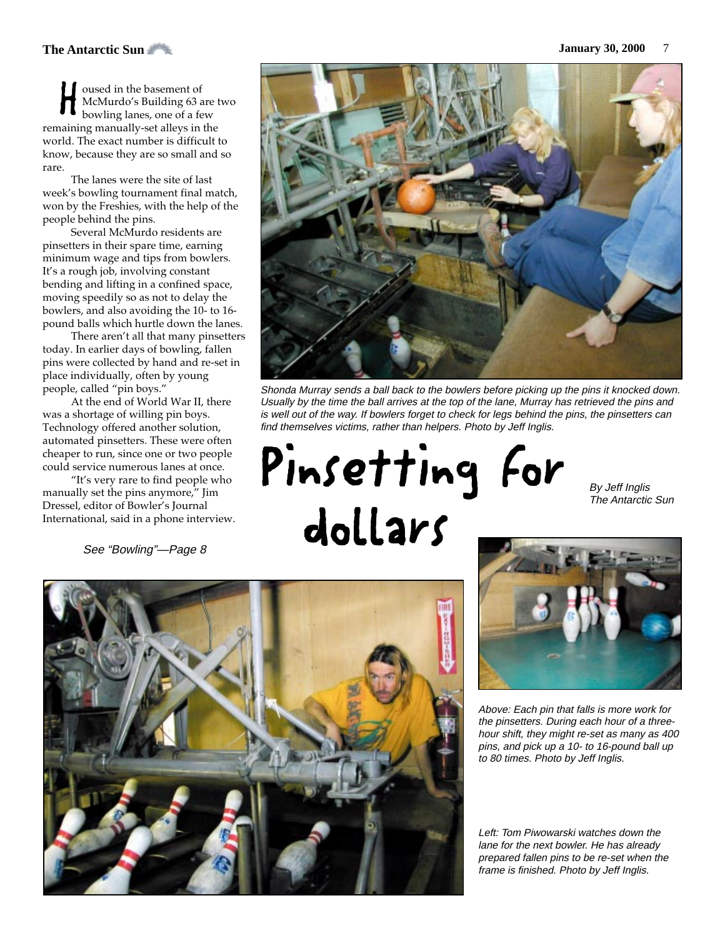#### **The Antarctic Sun January 30, 2000** 7

oused in the basement of McMurdo's Building 63 are two bowling lanes, one of a few **Propendici** in the basement of McMurdo's Building 63 are bowling lanes, one of a few remaining manually-set alleys in the world. The exact number is difficult to know, because they are so small and so rare.

The lanes were the site of last week's bowling tournament final match, won by the Freshies, with the help of the people behind the pins.

Several McMurdo residents are pinsetters in their spare time, earning minimum wage and tips from bowlers. It's a rough job, involving constant bending and lifting in a confined space, moving speedily so as not to delay the bowlers, and also avoiding the 10- to 16 pound balls which hurtle down the lanes.

There aren't all that many pinsetters today. In earlier days of bowling, fallen pins were collected by hand and re-set in place individually, often by young people, called "pin boys."

At the end of World War II, there was a shortage of willing pin boys. Technology offered another solution, automated pinsetters. These were often cheaper to run, since one or two people could service numerous lanes at once.

"It's very rare to find people who manually set the pins anymore," Jim Dressel, editor of Bowler's Journal International, said in a phone interview.

See "Bowling"—Page 8



Shonda Murray sends a ball back to the bowlers before picking up the pins it knocked down. Usually by the time the ball arrives at the top of the lane, Murray has retrieved the pins and is well out of the way. If bowlers forget to check for legs behind the pins, the pinsetters can find themselves victims, rather than helpers. Photo by Jeff Inglis.

Pinsetting For dollars

By Jeff Inglis The Antarctic Sun





Above: Each pin that falls is more work for the pinsetters. During each hour of a threehour shift, they might re-set as many as 400 pins, and pick up a 10- to 16-pound ball up to 80 times. Photo by Jeff Inglis.

Left: Tom Piwowarski watches down the lane for the next bowler. He has already prepared fallen pins to be re-set when the frame is finished. Photo by Jeff Inglis.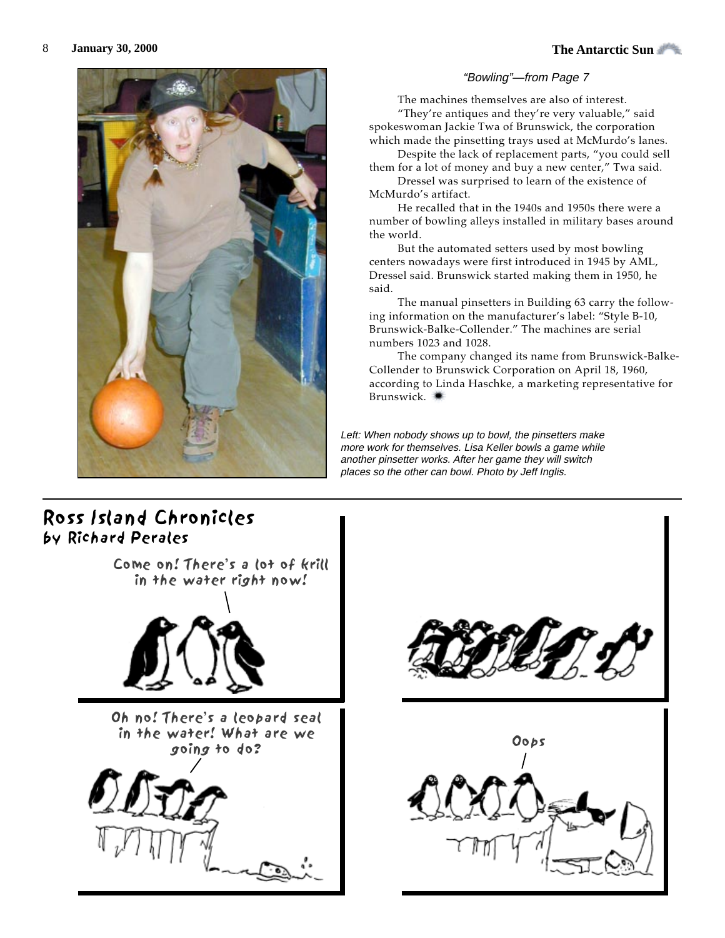

#### "Bowling"—from Page 7

The machines themselves are also of interest.

"They're antiques and they're very valuable," said spokeswoman Jackie Twa of Brunswick, the corporation which made the pinsetting trays used at McMurdo's lanes.

Despite the lack of replacement parts, "you could sell them for a lot of money and buy a new center," Twa said.

Dressel was surprised to learn of the existence of McMurdo's artifact.

He recalled that in the 1940s and 1950s there were a number of bowling alleys installed in military bases around the world.

But the automated setters used by most bowling centers nowadays were first introduced in 1945 by AML, Dressel said. Brunswick started making them in 1950, he said.

The manual pinsetters in Building 63 carry the following information on the manufacturer's label: "Style B-10, Brunswick-Balke-Collender." The machines are serial numbers 1023 and 1028.

The company changed its name from Brunswick-Balke-Collender to Brunswick Corporation on April 18, 1960, according to Linda Haschke, a marketing representative for Brunswick.

Left: When nobody shows up to bowl, the pinsetters make more work for themselves. Lisa Keller bowls a game while another pinsetter works. After her game they will switch places so the other can bowl. Photo by Jeff Inglis.

#### Ross Island Chronicles by Richard Perales



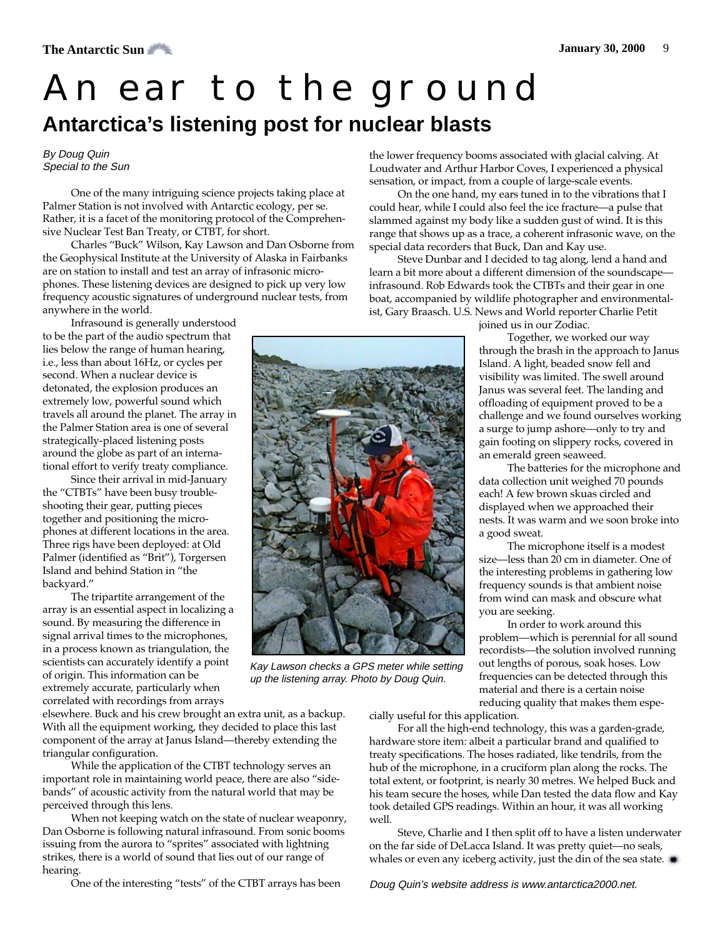## An ear to the ground **Antarctica's listening post for nuclear blasts**

#### By Doug Quin Special to the Sun

One of the many intriguing science projects taking place at Palmer Station is not involved with Antarctic ecology, per se. Rather, it is a facet of the monitoring protocol of the Comprehensive Nuclear Test Ban Treaty, or CTBT, for short.

Charles "Buck" Wilson, Kay Lawson and Dan Osborne from the Geophysical Institute at the University of Alaska in Fairbanks are on station to install and test an array of infrasonic microphones. These listening devices are designed to pick up very low frequency acoustic signatures of underground nuclear tests, from anywhere in the world.

Infrasound is generally understood to be the part of the audio spectrum that lies below the range of human hearing, i.e., less than about 16Hz, or cycles per second. When a nuclear device is detonated, the explosion produces an extremely low, powerful sound which travels all around the planet. The array in the Palmer Station area is one of several strategically-placed listening posts around the globe as part of an international effort to verify treaty compliance.

Since their arrival in mid-January the "CTBTs" have been busy troubleshooting their gear, putting pieces together and positioning the microphones at different locations in the area. Three rigs have been deployed: at Old Palmer (identified as "Brit"), Torgersen Island and behind Station in "the backyard."

The tripartite arrangement of the array is an essential aspect in localizing a sound. By measuring the difference in signal arrival times to the microphones, in a process known as triangulation, the scientists can accurately identify a point of origin. This information can be extremely accurate, particularly when correlated with recordings from arrays

elsewhere. Buck and his crew brought an extra unit, as a backup. With all the equipment working, they decided to place this last component of the array at Janus Island—thereby extending the triangular configuration.

While the application of the CTBT technology serves an important role in maintaining world peace, there are also "sidebands" of acoustic activity from the natural world that may be perceived through this lens.

When not keeping watch on the state of nuclear weaponry, Dan Osborne is following natural infrasound. From sonic booms issuing from the aurora to "sprites" associated with lightning strikes, there is a world of sound that lies out of our range of hearing.

One of the interesting "tests" of the CTBT arrays has been

the lower frequency booms associated with glacial calving. At Loudwater and Arthur Harbor Coves, I experienced a physical sensation, or impact, from a couple of large-scale events.

On the one hand, my ears tuned in to the vibrations that I could hear, while I could also feel the ice fracture—a pulse that slammed against my body like a sudden gust of wind. It is this range that shows up as a trace, a coherent infrasonic wave, on the special data recorders that Buck, Dan and Kay use.

Steve Dunbar and I decided to tag along, lend a hand and learn a bit more about a different dimension of the soundscape infrasound. Rob Edwards took the CTBTs and their gear in one boat, accompanied by wildlife photographer and environmentalist, Gary Braasch. U.S. News and World reporter Charlie Petit



Kay Lawson checks a GPS meter while setting up the listening array. Photo by Doug Quin.

cially useful for this application.

For all the high-end technology, this was a garden-grade, hardware store item: albeit a particular brand and qualified to treaty specifications. The hoses radiated, like tendrils, from the hub of the microphone, in a cruciform plan along the rocks. The total extent, or footprint, is nearly 30 metres. We helped Buck and his team secure the hoses, while Dan tested the data flow and Kay took detailed GPS readings. Within an hour, it was all working well.

Steve, Charlie and I then split off to have a listen underwater on the far side of DeLacca Island. It was pretty quiet—no seals, whales or even any iceberg activity, just the din of the sea state.

Doug Quin's website address is www.antarctica2000.net.

joined us in our Zodiac.

Together, we worked our way through the brash in the approach to Janus Island. A light, beaded snow fell and visibility was limited. The swell around Janus was several feet. The landing and offloading of equipment proved to be a challenge and we found ourselves working a surge to jump ashore—only to try and gain footing on slippery rocks, covered in an emerald green seaweed.

The batteries for the microphone and data collection unit weighed 70 pounds each! A few brown skuas circled and displayed when we approached their nests. It was warm and we soon broke into a good sweat.

The microphone itself is a modest size—less than 20 cm in diameter. One of the interesting problems in gathering low frequency sounds is that ambient noise from wind can mask and obscure what you are seeking.

In order to work around this problem—which is perennial for all sound recordists—the solution involved running out lengths of porous, soak hoses. Low frequencies can be detected through this material and there is a certain noise reducing quality that makes them espe-